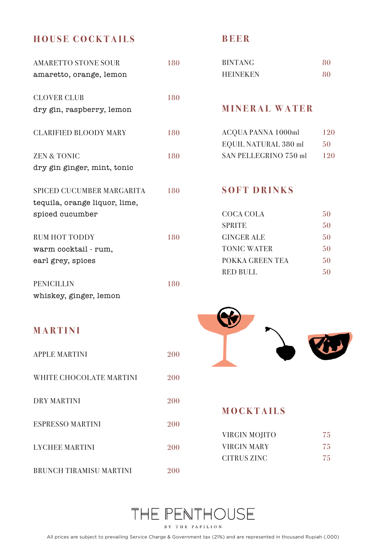### **HOUSE COCKTAILS**

| <b>AMARETTO STONE SOUR</b><br>amaretto, orange, lemon                         | 180 |
|-------------------------------------------------------------------------------|-----|
| CLOVER CLUB                                                                   | 180 |
| dry gin, raspberry, lemon<br><b>CLARIFIED BLOODY MARY</b>                     | 180 |
| <b>ZEN &amp; TONIC</b>                                                        | 180 |
| dry gin ginger, mint, tonic                                                   |     |
| SPICED CUCUMBER MARGARITA<br>tequila, orange liquor, lime,<br>spiced cucumber | 180 |
| <b>RUM HOT TODDY</b>                                                          | 180 |
| warm cocktail - rum,<br>earl grey, spices                                     |     |
| PENICILLIN                                                                    | 180 |

#### **BEER**

| <b>BINTANG</b>  | 80 |
|-----------------|----|
| <b>HEINEKEN</b> | 80 |

#### **MINERAL WATER**

| <b>ACOUA PANNA 1000ml</b> | 120 |
|---------------------------|-----|
| EQUIL NATURAL 380 ml      | 50  |
| SAN PELLEGRINO 750 ml     | 120 |

#### **SOFT DRINKS**

| COCA COLA       | 50 |
|-----------------|----|
| <b>SPRITE</b>   | 50 |
| GINGER ALE      | 50 |
| TONIC WATER     | 50 |
| POKKA GREEN TEA | 50 |
| RED BULL        | 50 |

### **MARTINI**

whiskey, ginger, lemon

| APPLE MARTINI |  |
|---------------|--|
|---------------|--|

WHITE CHOCOLATE MARTINI 200

DRY MARTINI 200

ESPRESSO MARTINI 200

LYCHEE MARTINI 200

BRUNCH TIRAMISU MARTINI 200



### **MOCKTAILS**

| VIRGIN MOIITO | 75  |
|---------------|-----|
| VIRGIN MARY   | 75. |
| CITRUS ZINC   | 75  |